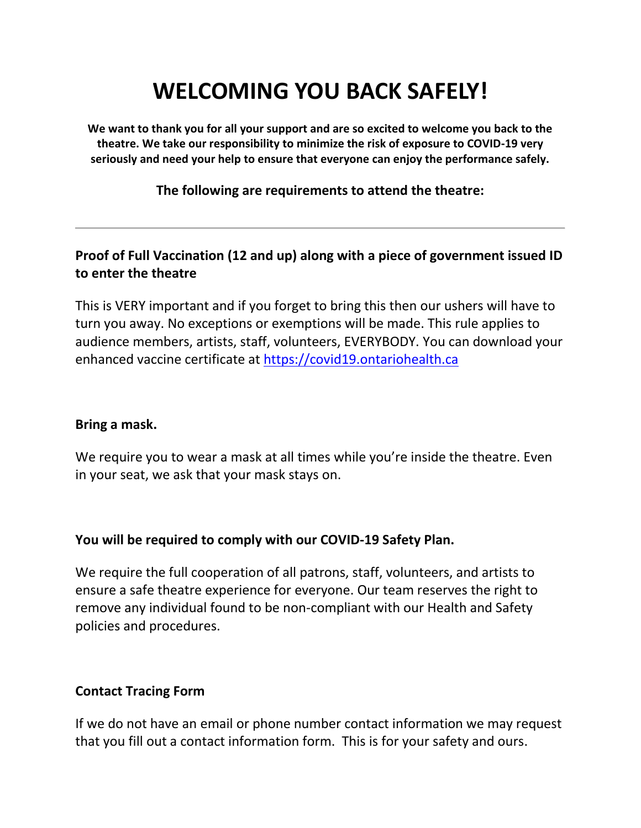# **WELCOMING YOU BACK SAFELY!**

**We want to thank you for all your support and are so excited to welcome you back to the theatre. We take our responsibility to minimize the risk of exposure to COVID-19 very seriously and need your help to ensure that everyone can enjoy the performance safely.** 

#### **The following are requirements to attend the theatre:**

# **Proof of Full Vaccination (12 and up) along with a piece of government issued ID to enter the theatre**

This is VERY important and if you forget to bring this then our ushers will have to turn you away. No exceptions or exemptions will be made. This rule applies to audience members, artists, staff, volunteers, EVERYBODY. You can download your enhanced vaccine certificate at [https://covid19.ontariohealth.ca](https://covid19.ontariohealth.ca/)

#### **Bring a mask.**

We require you to wear a mask at all times while you're inside the theatre. Even in your seat, we ask that your mask stays on.

### **You will be required to comply with our COVID-19 Safety Plan.**

We require the full cooperation of all patrons, staff, volunteers, and artists to ensure a safe theatre experience for everyone. Our team reserves the right to remove any individual found to be non-compliant with our Health and Safety policies and procedures.

### **Contact Tracing Form**

If we do not have an email or phone number contact information we may request that you fill out a contact information form. This is for your safety and ours.